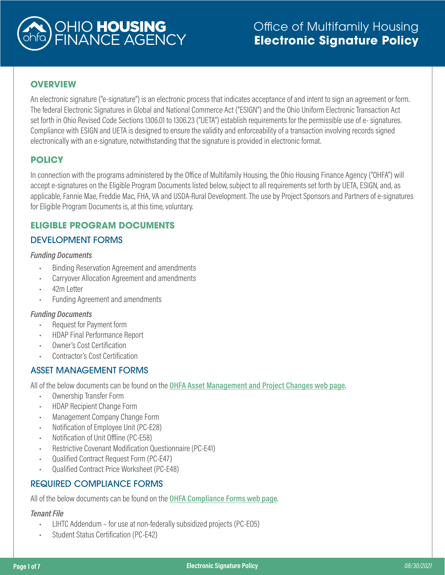

# **OVERVIEW**

An electronic signature ("e-signature") is an electronic process that indicates acceptance of and intent to sign an agreement or form. The federal Electronic Signatures in Global and National Commerce Act ("ESIGN") and the Ohio Uniform Electronic Transaction Act set forth in Ohio Revised Code Sections 1306.01 to 1306.23 ("UETA") establish requirements for the permissible use of e- signatures. Compliance with ESIGN and UETA is designed to ensure the validity and enforceability of a transaction involving records signed electronically with an e-signature, notwithstanding that the signature is provided in electronic format.

# **POLICY**

In connection with the programs administered by the Office of Multifamily Housing, the Ohio Housing Finance Agency ("OHFA") will accept e-signatures on the Eligible Program Documents listed below, subject to all requirements set forth by UETA, ESIGN, and, as applicable, Fannie Mae, Freddie Mac, FHA, VA and USDA-Rural Development. The use by Project Sponsors and Partners of e-signatures for Eligible Program Documents is, at this time, voluntary.

# **ELIGIBLE PROGRAM DOCUMENTS**

# DEVELOPMENT FORMS

### *Funding Documents*

- Binding Reservation Agreement and amendments
- Carryover Allocation Agreement and amendments
- 42m Letter
- Funding Agreement and amendments

### *Funding Documents*

- Request for Payment form
- HDAP Final Performance Report
- Owner's Cost Certification
- Contractor's Cost Certification

## ASSET MANAGEMENT FORMS

All of the below documents can be found on the **[OHFA Asset Management and Project Changes web page](https://ohiohome.org/compliance/changes.aspx)**.

- Ownership Transfer Form
- HDAP Recipient Change Form
- Management Company Change Form
- Notification of Employee Unit (PC-E28)
- Notification of Unit Offline (PC-E58)
- Restrictive Covenant Modification Questionnaire (PC-E41)
- Qualified Contract Request Form (PC-E47)
- Qualified Contract Price Worksheet (PC-E48)

## REQUIRED COMPLIANCE FORMS

All of the below documents can be found on the **[OHFA Compliance Forms web page](https://ohiohome.org/compliance/forms.aspx)**.

### *Tenant File*

- LIHTC Addendum for use at non-federally subsidized projects (PC-EO5)
- Student Status Certification (PC-E42)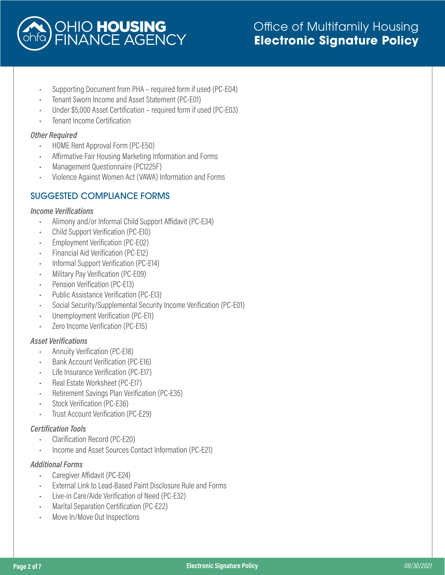

- Supporting Document from PHA required form if used (PC-E04)
- Tenant Sworn Income and Asset Statement (PC-E01)
- Under \$5,000 Asset Certification required form if used (PC-E03)
- Tenant Income Certification

### *Other Required*

- HOME Rent Approval Form (PC-E50)
- Affirmative Fair Housing Marketing Information and Forms
- Management Questionnaire (PC1225F)
- Violence Against Women Act (VAWA) Information and Forms

# SUGGESTED COMPLIANCE FORMS

#### *Income Verifications*

- Alimony and/or Informal Child Support Affidavit (PC-E34)
- Child Support Verification (PC-E10)
- Employment Verification (PC-E02)
- Financial Aid Verification (PC-E12)
- Informal Support Verification (PC-E14)
- Military Pay Verification (PC-E09)
- Pension Verification (PC-E13)
- Public Assistance Verification (PC-E13)
- Social Security/Supplemental Security Income Verification (PC-E01)
- Unemployment Verification (PC-E11)
- Zero Income Verification (PC-E15)

## *Asset Verifications*

- Annuity Verification (PC-E18)
- Bank Account Verification (PC-E16)
- Life Insurance Verification (PC-E17)
- Real Estate Worksheet (PC-E17)
- Retirement Savings Plan Verification (PC-E35)
- Stock Verification (PC-E36)
- Trust Account Verification (PC-E29)

### *Certification Tools*

- Clarification Record (PC-E20)
- Income and Asset Sources Contact Information (PC-E21)

### *Additional Forms*

- Caregiver Affidavit (PC-E24)
- External Link to Lead-Based Paint Disclosure Rule and Forms
- Live-in Care/Aide Verification of Need (PC-E32)
- Marital Separation Certification (PC-E22)
- Move In/Move Out Inspections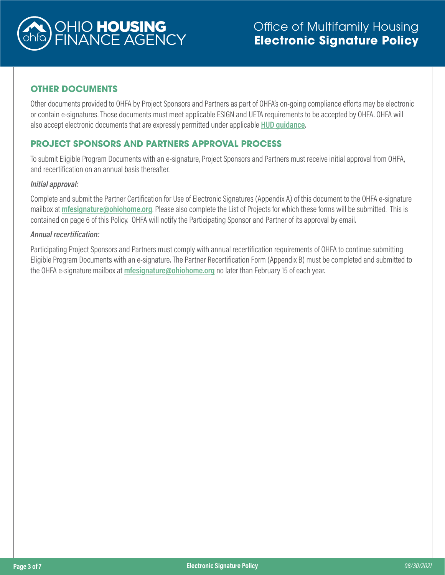

# **OTHER DOCUMENTS**

Other documents provided to OHFA by Project Sponsors and Partners as part of OHFA's on-going compliance efforts may be electronic or contain e-signatures. Those documents must meet applicable ESIGN and UETA requirements to be accepted by OHFA. OHFA will also accept electronic documents that are expressly permitted under applicable **[HUD guidance](https://www.hud.gov/sites/dfiles/Housing/documents/HUD_Notice_H_2020-10_Electronic_Signature.pdf)**.

## **PROJECT SPONSORS AND PARTNERS APPROVAL PROCESS**

To submit Eligible Program Documents with an e-signature, Project Sponsors and Partners must receive initial approval from OHFA, and recertification on an annual basis thereafter.

#### *Initial approval:*

Complete and submit the Partner Certification for Use of Electronic Signatures (Appendix A) of this document to the OHFA e-signature mailbox at **[mfesignature@ohiohome.org](mailto:mfesignature%40ohiohome.org?subject=)**. Please also complete the List of Projects for which these forms will be submitted. This is contained on page 6 of this Policy. OHFA will notify the Participating Sponsor and Partner of its approval by email.

#### *Annual recertification:*

Participating Project Sponsors and Partners must comply with annual recertification requirements of OHFA to continue submitting Eligible Program Documents with an e-signature. The Partner Recertification Form (Appendix B) must be completed and submitted to the OHFA e-signature mailbox at **[mfesignature@ohiohome.org](mailto:mfesignature%40ohiohome.org?subject=)** no later than February 15 of each year.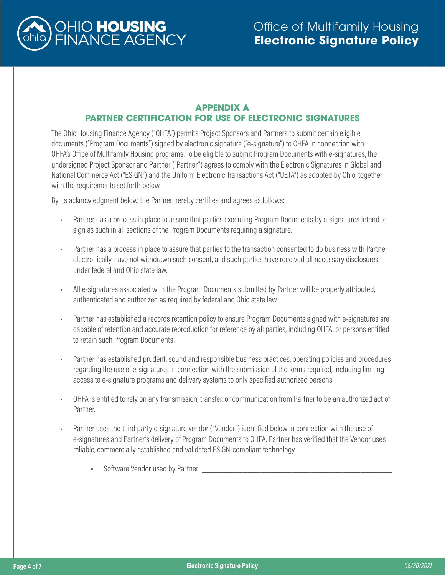

## **APPENDIX A PARTNER CERTIFICATION FOR USE OF ELECTRONIC SIGNATURES**

The Ohio Housing Finance Agency ("OHFA") permits Project Sponsors and Partners to submit certain eligible documents ("Program Documents") signed by electronic signature ("e-signature") to OHFA in connection with OHFA's Office of Multifamily Housing programs. To be eligible to submit Program Documents with e-signatures, the undersigned Project Sponsor and Partner ("Partner") agrees to comply with the Electronic Signatures in Global and National Commerce Act ("ESIGN") and the Uniform Electronic Transactions Act ("UETA") as adopted by Ohio, together with the requirements set forth below.

By its acknowledgment below, the Partner hereby certifies and agrees as follows:

- Partner has a process in place to assure that parties executing Program Documents by e-signatures intend to sign as such in all sections of the Program Documents requiring a signature.
- Partner has a process in place to assure that parties to the transaction consented to do business with Partner electronically, have not withdrawn such consent, and such parties have received all necessary disclosures under federal and Ohio state law.
- All e-signatures associated with the Program Documents submitted by Partner will be properly attributed, authenticated and authorized as required by federal and Ohio state law.
- Partner has established a records retention policy to ensure Program Documents signed with e-signatures are capable of retention and accurate reproduction for reference by all parties, including OHFA, or persons entitled to retain such Program Documents.
- Partner has established prudent, sound and responsible business practices, operating policies and procedures regarding the use of e-signatures in connection with the submission of the forms required, including limiting access to e-signature programs and delivery systems to only specified authorized persons.
- OHFA is entitled to rely on any transmission, transfer, or communication from Partner to be an authorized act of Partner.
- Partner uses the third party e-signature vendor ("Vendor") identified below in connection with the use of e-signatures and Partner's delivery of Program Documents to OHFA. Partner has verified that the Vendor uses reliable, commercially established and validated ESIGN-compliant technology.
	- Software Vendor used by Partner: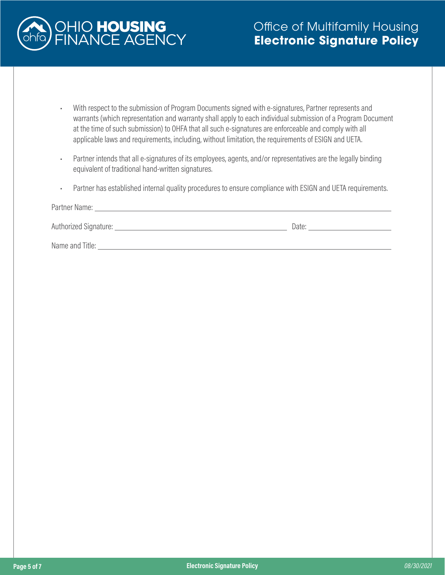

- With respect to the submission of Program Documents signed with e-signatures, Partner represents and warrants (which representation and warranty shall apply to each individual submission of a Program Document at the time of such submission) to OHFA that all such e-signatures are enforceable and comply with all applicable laws and requirements, including, without limitation, the requirements of ESIGN and UETA.
- Partner intends that all e-signatures of its employees, agents, and/or representatives are the legally binding equivalent of traditional hand-written signatures.
- Partner has established internal quality procedures to ensure compliance with ESIGN and UETA requirements.

| Partner Name:           |       |
|-------------------------|-------|
| Authorized Signature: _ | Date: |
| Name and Title:         |       |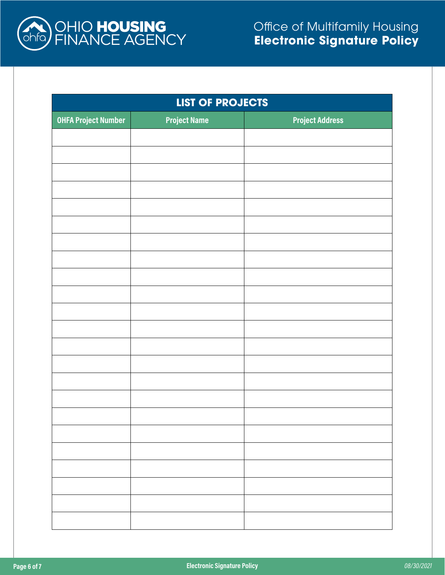

| <b>LIST OF PROJECTS</b>    |                     |                        |
|----------------------------|---------------------|------------------------|
| <b>OHFA Project Number</b> | <b>Project Name</b> | <b>Project Address</b> |
|                            |                     |                        |
|                            |                     |                        |
|                            |                     |                        |
|                            |                     |                        |
|                            |                     |                        |
|                            |                     |                        |
|                            |                     |                        |
|                            |                     |                        |
|                            |                     |                        |
|                            |                     |                        |
|                            |                     |                        |
|                            |                     |                        |
|                            |                     |                        |
|                            |                     |                        |
|                            |                     |                        |
|                            |                     |                        |
|                            |                     |                        |
|                            |                     |                        |
|                            |                     |                        |
|                            |                     |                        |
|                            |                     |                        |
|                            |                     |                        |
|                            |                     |                        |
|                            |                     |                        |